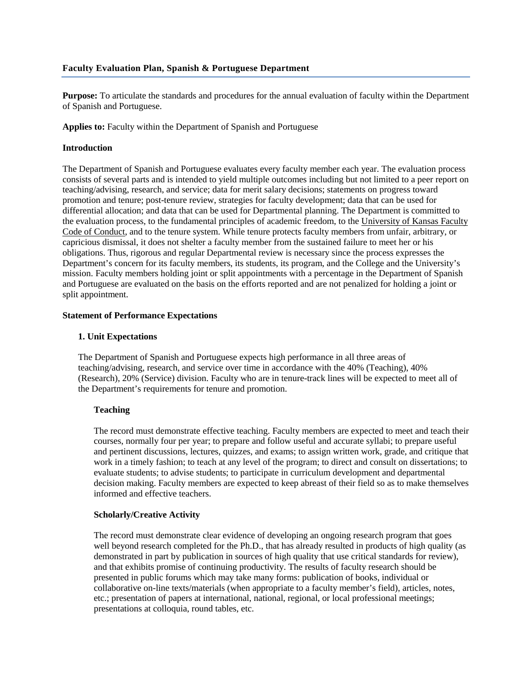## **Faculty Evaluation Plan, Spanish & Portuguese Department**

**Purpose:** To articulate the standards and procedures for the annual evaluation of faculty within the Department of Spanish and Portuguese.

**Applies to:** Faculty within the Department of Spanish and Portuguese

## **Introduction**

The Department of Spanish and Portuguese evaluates every faculty member each year. The evaluation process consists of several parts and is intended to yield multiple outcomes including but not limited to a peer report on teaching/advising, research, and service; data for merit salary decisions; statements on progress toward promotion and tenure; post-tenure review, strategies for faculty development; data that can be used for differential allocation; and data that can be used for Departmental planning. The Department is committed to the evaluation process, to the fundamental principles of academic freedom, to the [University of Kansas Faculty](http://policy.ku.edu/provost/faculty-code-of-rights)  [Code of Conduct,](http://policy.ku.edu/provost/faculty-code-of-rights) and to the tenure system. While tenure protects faculty members from unfair, arbitrary, or capricious dismissal, it does not shelter a faculty member from the sustained failure to meet her or his obligations. Thus, rigorous and regular Departmental review is necessary since the process expresses the Department's concern for its faculty members, its students, its program, and the College and the University's mission. Faculty members holding joint or split appointments with a percentage in the Department of Spanish and Portuguese are evaluated on the basis on the efforts reported and are not penalized for holding a joint or split appointment.

## **Statement of Performance Expectations**

## **1. Unit Expectations**

The Department of Spanish and Portuguese expects high performance in all three areas of teaching/advising, research, and service over time in accordance with the 40% (Teaching), 40% (Research), 20% (Service) division. Faculty who are in tenure-track lines will be expected to meet all of the Department's requirements for tenure and promotion.

# **Teaching**

The record must demonstrate effective teaching. Faculty members are expected to meet and teach their courses, normally four per year; to prepare and follow useful and accurate syllabi; to prepare useful and pertinent discussions, lectures, quizzes, and exams; to assign written work, grade, and critique that work in a timely fashion; to teach at any level of the program; to direct and consult on dissertations; to evaluate students; to advise students; to participate in curriculum development and departmental decision making. Faculty members are expected to keep abreast of their field so as to make themselves informed and effective teachers.

## **Scholarly/Creative Activity**

The record must demonstrate clear evidence of developing an ongoing research program that goes well beyond research completed for the Ph.D., that has already resulted in products of high quality (as demonstrated in part by publication in sources of high quality that use critical standards for review), and that exhibits promise of continuing productivity. The results of faculty research should be presented in public forums which may take many forms: publication of books, individual or collaborative on-line texts/materials (when appropriate to a faculty member's field), articles, notes, etc.; presentation of papers at international, national, regional, or local professional meetings; presentations at colloquia, round tables, etc.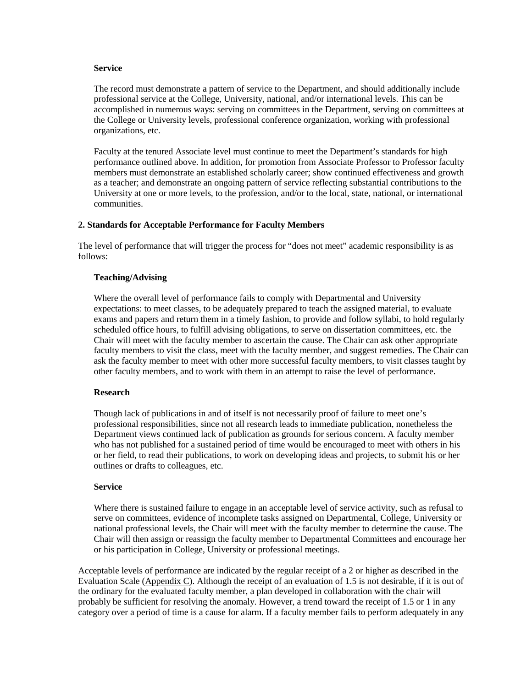#### **Service**

The record must demonstrate a pattern of service to the Department, and should additionally include professional service at the College, University, national, and/or international levels. This can be accomplished in numerous ways: serving on committees in the Department, serving on committees at the College or University levels, professional conference organization, working with professional organizations, etc.

Faculty at the tenured Associate level must continue to meet the Department's standards for high performance outlined above. In addition, for promotion from Associate Professor to Professor faculty members must demonstrate an established scholarly career; show continued effectiveness and growth as a teacher; and demonstrate an ongoing pattern of service reflecting substantial contributions to the University at one or more levels, to the profession, and/or to the local, state, national, or international communities.

## **2. Standards for Acceptable Performance for Faculty Members**

The level of performance that will trigger the process for "does not meet" academic responsibility is as follows:

## **Teaching/Advising**

Where the overall level of performance fails to comply with Departmental and University expectations: to meet classes, to be adequately prepared to teach the assigned material, to evaluate exams and papers and return them in a timely fashion, to provide and follow syllabi, to hold regularly scheduled office hours, to fulfill advising obligations, to serve on dissertation committees, etc. the Chair will meet with the faculty member to ascertain the cause. The Chair can ask other appropriate faculty members to visit the class, meet with the faculty member, and suggest remedies. The Chair can ask the faculty member to meet with other more successful faculty members, to visit classes taught by other faculty members, and to work with them in an attempt to raise the level of performance.

## **Research**

Though lack of publications in and of itself is not necessarily proof of failure to meet one's professional responsibilities, since not all research leads to immediate publication, nonetheless the Department views continued lack of publication as grounds for serious concern. A faculty member who has not published for a sustained period of time would be encouraged to meet with others in his or her field, to read their publications, to work on developing ideas and projects, to submit his or her outlines or drafts to colleagues, etc.

## **Service**

Where there is sustained failure to engage in an acceptable level of service activity, such as refusal to serve on committees, evidence of incomplete tasks assigned on Departmental, College, University or national professional levels, the Chair will meet with the faculty member to determine the cause. The Chair will then assign or reassign the faculty member to Departmental Committees and encourage her or his participation in College, University or professional meetings.

Acceptable levels of performance are indicated by the regular receipt of a 2 or higher as described in the Evaluation Scale [\(Appendix C\)](#page-14-0). Although the receipt of an evaluation of 1.5 is not desirable, if it is out of the ordinary for the evaluated faculty member, a plan developed in collaboration with the chair will probably be sufficient for resolving the anomaly. However, a trend toward the receipt of 1.5 or 1 in any category over a period of time is a cause for alarm. If a faculty member fails to perform adequately in any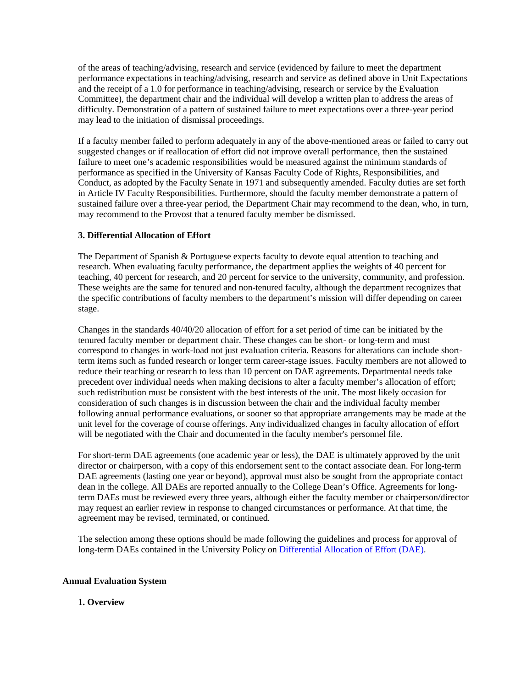of the areas of teaching/advising, research and service (evidenced by failure to meet the department performance expectations in teaching/advising, research and service as defined above in Unit Expectations and the receipt of a 1.0 for performance in teaching/advising, research or service by the Evaluation Committee), the department chair and the individual will develop a written plan to address the areas of difficulty. Demonstration of a pattern of sustained failure to meet expectations over a three-year period may lead to the initiation of dismissal proceedings.

If a faculty member failed to perform adequately in any of the above-mentioned areas or failed to carry out suggested changes or if reallocation of effort did not improve overall performance, then the sustained failure to meet one's academic responsibilities would be measured against the minimum standards of performance as specified in the University of Kansas Faculty Code of Rights, Responsibilities, and Conduct, as adopted by the Faculty Senate in 1971 and subsequently amended. Faculty duties are set forth in Article IV Faculty Responsibilities. Furthermore, should the faculty member demonstrate a pattern of sustained failure over a three-year period, the Department Chair may recommend to the dean, who, in turn, may recommend to the Provost that a tenured faculty member be dismissed.

# **3. Differential Allocation of Effort**

The Department of Spanish & Portuguese expects faculty to devote equal attention to teaching and research. When evaluating faculty performance, the department applies the weights of 40 percent for teaching, 40 percent for research, and 20 percent for service to the university, community, and profession. These weights are the same for tenured and non-tenured faculty, although the department recognizes that the specific contributions of faculty members to the department's mission will differ depending on career stage.

Changes in the standards 40/40/20 allocation of effort for a set period of time can be initiated by the tenured faculty member or department chair. These changes can be short- or long-term and must correspond to changes in work-load not just evaluation criteria. Reasons for alterations can include shortterm items such as funded research or longer term career-stage issues. Faculty members are not allowed to reduce their teaching or research to less than 10 percent on DAE agreements. Departmental needs take precedent over individual needs when making decisions to alter a faculty member's allocation of effort; such redistribution must be consistent with the best interests of the unit. The most likely occasion for consideration of such changes is in discussion between the chair and the individual faculty member following annual performance evaluations, or sooner so that appropriate arrangements may be made at the unit level for the coverage of course offerings. Any individualized changes in faculty allocation of effort will be negotiated with the Chair and documented in the faculty member's personnel file.

For short-term DAE agreements (one academic year or less), the DAE is ultimately approved by the unit director or chairperson, with a copy of this endorsement sent to the contact associate dean. For long-term DAE agreements (lasting one year or beyond), approval must also be sought from the appropriate contact dean in the college. All DAEs are reported annually to the College Dean's Office. Agreements for longterm DAEs must be reviewed every three years, although either the faculty member or chairperson/director may request an earlier review in response to changed circumstances or performance. At that time, the agreement may be revised, terminated, or continued.

The selection among these options should be made following the guidelines and process for approval of long-term DAEs contained in the University Policy on [Differential Allocation of Effort \(DAE\).](https://policy.drupal.ku.edu/provost/DAE)

# **Annual Evaluation System**

# **1. Overview**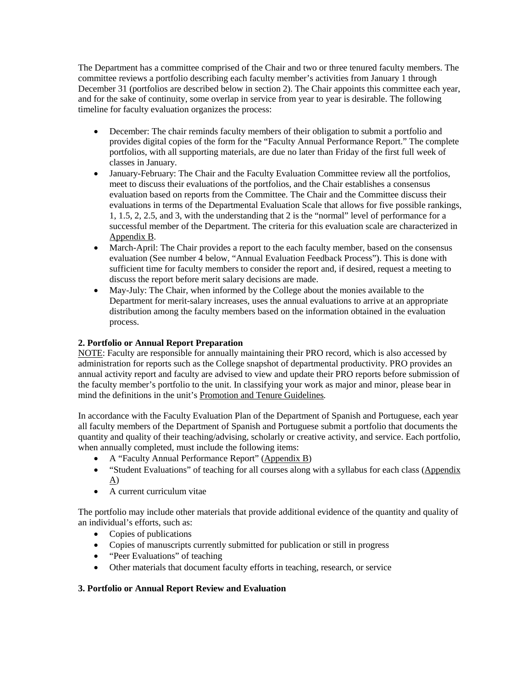The Department has a committee comprised of the Chair and two or three tenured faculty members. The committee reviews a portfolio describing each faculty member's activities from January 1 through December 31 (portfolios are described below in section 2). The Chair appoints this committee each year, and for the sake of continuity, some overlap in service from year to year is desirable. The following timeline for faculty evaluation organizes the process:

- December: The chair reminds faculty members of their obligation to submit a portfolio and provides digital copies of the form for the "Faculty Annual Performance Report." The complete portfolios, with all supporting materials, are due no later than Friday of the first full week of classes in January.
- January-February: The Chair and the Faculty Evaluation Committee review all the portfolios, meet to discuss their evaluations of the portfolios, and the Chair establishes a consensus evaluation based on reports from the Committee. The Chair and the Committee discuss their evaluations in terms of the Departmental Evaluation Scale that allows for five possible rankings, 1, 1.5, 2, 2.5, and 3, with the understanding that 2 is the "normal" level of performance for a successful member of the Department. The criteria for this evaluation scale are characterized in [Appendix B.](#page-9-0)
- March-April: The Chair provides a report to the each faculty member, based on the consensus evaluation (See number 4 below, "Annual Evaluation Feedback Process"). This is done with sufficient time for faculty members to consider the report and, if desired, request a meeting to discuss the report before merit salary decisions are made.
- May-July: The Chair, when informed by the College about the monies available to the Department for merit-salary increases, uses the annual evaluations to arrive at an appropriate distribution among the faculty members based on the information obtained in the evaluation process.

# **2. Portfolio or Annual Report Preparation**

NOTE: Faculty are responsible for annually maintaining their PRO record, which is also accessed by administration for reports such as the College snapshot of departmental productivity. PRO provides an annual activity report and faculty are advised to view and update their PRO reports before submission of the faculty member's portfolio to the unit. In classifying your work as major and minor, please bear in mind the definitions in the unit's [Promotion and Tenure Guidelines](http://policy.ku.edu/CLAS/promotion-tenure-spanish-portuguese)*.*

In accordance with the Faculty Evaluation Plan of the Department of Spanish and Portuguese, each year all faculty members of the Department of Spanish and Portuguese submit a portfolio that documents the quantity and quality of their teaching/advising, scholarly or creative activity, and service. Each portfolio, when annually completed, must include the following items:

- A "Faculty Annual Performance Report" [\(Appendix B\)](#page-9-0)
- "Student Evaluations" of teaching for all courses along with a syllabus for each class [\(Appendix](#page-8-0)  [A\)](#page-8-0)
- A current curriculum vitae

The portfolio may include other materials that provide additional evidence of the quantity and quality of an individual's efforts, such as:

- Copies of publications
- Copies of manuscripts currently submitted for publication or still in progress
- "Peer Evaluations" of teaching
- Other materials that document faculty efforts in teaching, research, or service

# **3. Portfolio or Annual Report Review and Evaluation**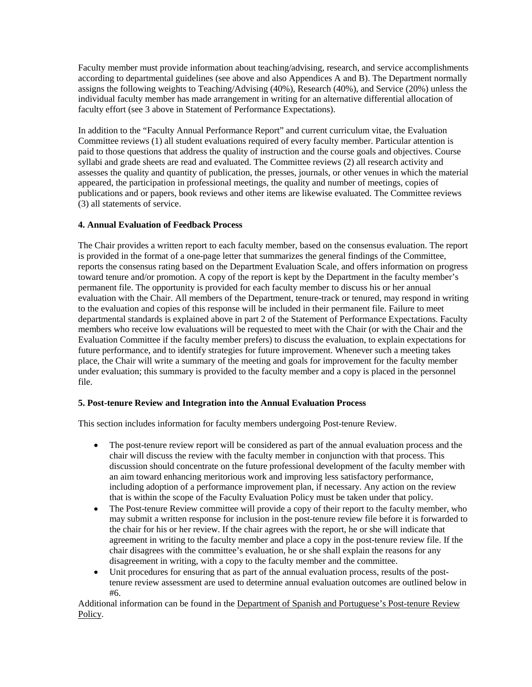Faculty member must provide information about teaching/advising, research, and service accomplishments according to departmental guidelines (see above and also Appendices A and B). The Department normally assigns the following weights to Teaching/Advising (40%), Research (40%), and Service (20%) unless the individual faculty member has made arrangement in writing for an alternative differential allocation of faculty effort (see 3 above in Statement of Performance Expectations).

In addition to the "Faculty Annual Performance Report" and current curriculum vitae, the Evaluation Committee reviews (1) all student evaluations required of every faculty member. Particular attention is paid to those questions that address the quality of instruction and the course goals and objectives. Course syllabi and grade sheets are read and evaluated. The Committee reviews (2) all research activity and assesses the quality and quantity of publication, the presses, journals, or other venues in which the material appeared, the participation in professional meetings, the quality and number of meetings, copies of publications and or papers, book reviews and other items are likewise evaluated. The Committee reviews (3) all statements of service.

# **4. Annual Evaluation of Feedback Process**

The Chair provides a written report to each faculty member, based on the consensus evaluation. The report is provided in the format of a one-page letter that summarizes the general findings of the Committee, reports the consensus rating based on the Department Evaluation Scale, and offers information on progress toward tenure and/or promotion. A copy of the report is kept by the Department in the faculty member's permanent file. The opportunity is provided for each faculty member to discuss his or her annual evaluation with the Chair. All members of the Department, tenure-track or tenured, may respond in writing to the evaluation and copies of this response will be included in their permanent file. Failure to meet departmental standards is explained above in part 2 of the Statement of Performance Expectations. Faculty members who receive low evaluations will be requested to meet with the Chair (or with the Chair and the Evaluation Committee if the faculty member prefers) to discuss the evaluation, to explain expectations for future performance, and to identify strategies for future improvement. Whenever such a meeting takes place, the Chair will write a summary of the meeting and goals for improvement for the faculty member under evaluation; this summary is provided to the faculty member and a copy is placed in the personnel file.

# **5. Post-tenure Review and Integration into the Annual Evaluation Process**

This section includes information for faculty members undergoing Post-tenure Review.

- The post-tenure review report will be considered as part of the annual evaluation process and the chair will discuss the review with the faculty member in conjunction with that process. This discussion should concentrate on the future professional development of the faculty member with an aim toward enhancing meritorious work and improving less satisfactory performance, including adoption of a performance improvement plan, if necessary. Any action on the review that is within the scope of the Faculty Evaluation Policy must be taken under that policy.
- The Post-tenure Review committee will provide a copy of their report to the faculty member, who may submit a written response for inclusion in the post-tenure review file before it is forwarded to the chair for his or her review. If the chair agrees with the report, he or she will indicate that agreement in writing to the faculty member and place a copy in the post-tenure review file. If the chair disagrees with the committee's evaluation, he or she shall explain the reasons for any disagreement in writing, with a copy to the faculty member and the committee.
- Unit procedures for ensuring that as part of the annual evaluation process, results of the posttenure review assessment are used to determine annual evaluation outcomes are outlined below in #6.

Additional information can be found in the [Department of Spanish and Portuguese's](https://policy.drupal.ku.edu/CLAS/post-tenure-review-spanish-portuguese) Post-tenure Review [Policy.](https://policy.drupal.ku.edu/CLAS/post-tenure-review-spanish-portuguese)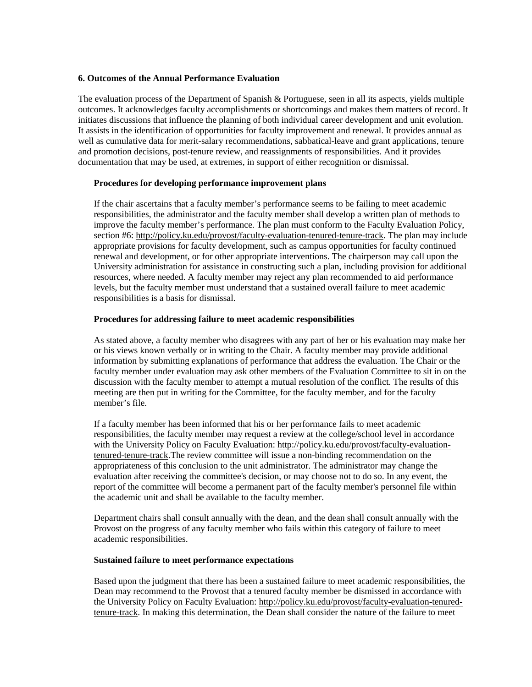## **6. Outcomes of the Annual Performance Evaluation**

The evaluation process of the Department of Spanish & Portuguese, seen in all its aspects, yields multiple outcomes. It acknowledges faculty accomplishments or shortcomings and makes them matters of record. It initiates discussions that influence the planning of both individual career development and unit evolution. It assists in the identification of opportunities for faculty improvement and renewal. It provides annual as well as cumulative data for merit-salary recommendations, sabbatical-leave and grant applications, tenure and promotion decisions, post-tenure review, and reassignments of responsibilities. And it provides documentation that may be used, at extremes, in support of either recognition or dismissal.

## **Procedures for developing performance improvement plans**

If the chair ascertains that a faculty member's performance seems to be failing to meet academic responsibilities, the administrator and the faculty member shall develop a written plan of methods to improve the faculty member's performance. The plan must conform to the Faculty Evaluation Policy, section #6: http://policy.ku.edu/provost/faculty-evaluation-tenured-tenure-track. The plan may include appropriate provisions for faculty development, such as campus opportunities for faculty continued renewal and development, or for other appropriate interventions. The chairperson may call upon the University administration for assistance in constructing such a plan, including provision for additional resources, where needed. A faculty member may reject any plan recommended to aid performance levels, but the faculty member must understand that a sustained overall failure to meet academic responsibilities is a basis for dismissal.

#### **Procedures for addressing failure to meet academic responsibilities**

As stated above, a faculty member who disagrees with any part of her or his evaluation may make her or his views known verbally or in writing to the Chair. A faculty member may provide additional information by submitting explanations of performance that address the evaluation. The Chair or the faculty member under evaluation may ask other members of the Evaluation Committee to sit in on the discussion with the faculty member to attempt a mutual resolution of the conflict. The results of this meeting are then put in writing for the Committee, for the faculty member, and for the faculty member's file.

If a faculty member has been informed that his or her performance fails to meet academic responsibilities, the faculty member may request a review at the college/school level in accordance with the University Policy on Faculty Evaluation: http://policy.ku.edu/provost/faculty-evaluationtenured-tenure-track.The review committee will issue a non-binding recommendation on the appropriateness of this conclusion to the unit administrator. The administrator may change the evaluation after receiving the committee's decision, or may choose not to do so. In any event, the report of the committee will become a permanent part of the faculty member's personnel file within the academic unit and shall be available to the faculty member.

Department chairs shall consult annually with the dean, and the dean shall consult annually with the Provost on the progress of any faculty member who fails within this category of failure to meet academic responsibilities.

#### **Sustained failure to meet performance expectations**

Based upon the judgment that there has been a sustained failure to meet academic responsibilities, the Dean may recommend to the Provost that a tenured faculty member be dismissed in accordance with the University Policy on Faculty Evaluation: http://policy.ku.edu/provost/faculty-evaluation-tenuredtenure-track. In making this determination, the Dean shall consider the nature of the failure to meet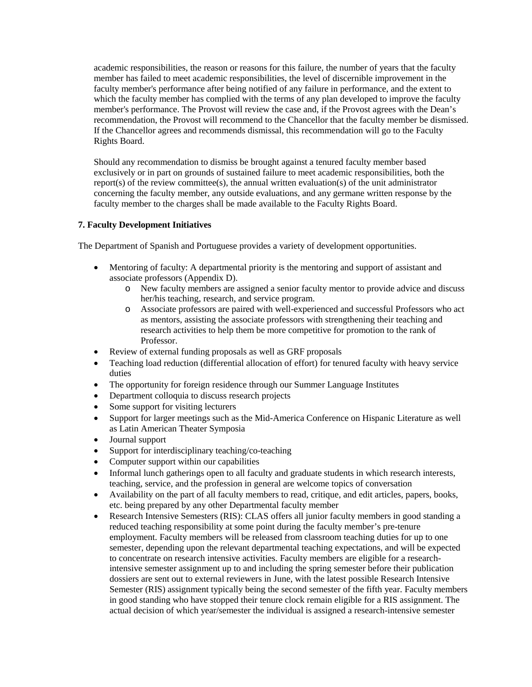academic responsibilities, the reason or reasons for this failure, the number of years that the faculty member has failed to meet academic responsibilities, the level of discernible improvement in the faculty member's performance after being notified of any failure in performance, and the extent to which the faculty member has complied with the terms of any plan developed to improve the faculty member's performance. The Provost will review the case and, if the Provost agrees with the Dean's recommendation, the Provost will recommend to the Chancellor that the faculty member be dismissed. If the Chancellor agrees and recommends dismissal, this recommendation will go to the Faculty Rights Board.

Should any recommendation to dismiss be brought against a tenured faculty member based exclusively or in part on grounds of sustained failure to meet academic responsibilities, both the report(s) of the review committee(s), the annual written evaluation(s) of the unit administrator concerning the faculty member, any outside evaluations, and any germane written response by the faculty member to the charges shall be made available to the Faculty Rights Board.

## **7. Faculty Development Initiatives**

The Department of Spanish and Portuguese provides a variety of development opportunities.

- Mentoring of faculty: A departmental priority is the mentoring and support of assistant and associate professors (Appendix D).
	- o New faculty members are assigned a senior faculty mentor to provide advice and discuss her/his teaching, research, and service program.
	- o Associate professors are paired with well-experienced and successful Professors who act as mentors, assisting the associate professors with strengthening their teaching and research activities to help them be more competitive for promotion to the rank of Professor.
- Review of external funding proposals as well as GRF proposals
- Teaching load reduction (differential allocation of effort) for tenured faculty with heavy service duties
- The opportunity for foreign residence through our Summer Language Institutes
- Department colloquia to discuss research projects
- Some support for visiting lecturers
- Support for larger meetings such as the Mid-America Conference on Hispanic Literature as well as Latin American Theater Symposia
- Journal support
- Support for interdisciplinary teaching/co-teaching
- Computer support within our capabilities
- Informal lunch gatherings open to all faculty and graduate students in which research interests, teaching, service, and the profession in general are welcome topics of conversation
- Availability on the part of all faculty members to read, critique, and edit articles, papers, books, etc. being prepared by any other Departmental faculty member
- Research Intensive Semesters (RIS): CLAS offers all junior faculty members in good standing a reduced teaching responsibility at some point during the faculty member's pre-tenure employment. Faculty members will be released from classroom teaching duties for up to one semester, depending upon the relevant departmental teaching expectations, and will be expected to concentrate on research intensive activities. Faculty members are eligible for a researchintensive semester assignment up to and including the spring semester before their publication dossiers are sent out to external reviewers in June, with the latest possible Research Intensive Semester (RIS) assignment typically being the second semester of the fifth year. Faculty members in good standing who have stopped their tenure clock remain eligible for a RIS assignment. The actual decision of which year/semester the individual is assigned a research-intensive semester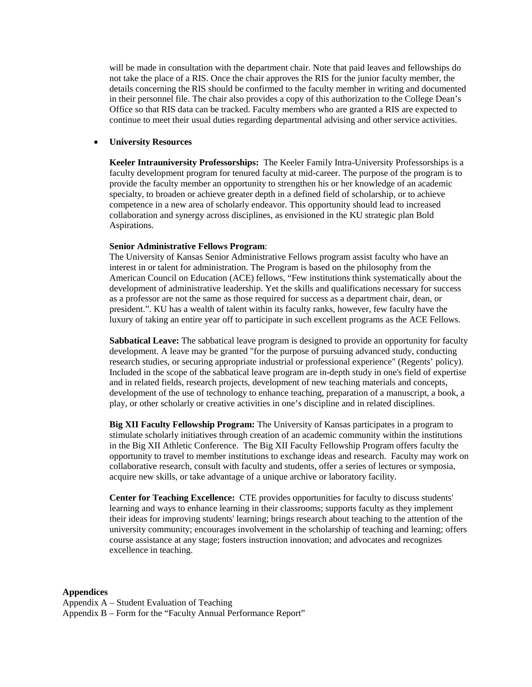will be made in consultation with the department chair. Note that paid leaves and fellowships do not take the place of a RIS. Once the chair approves the RIS for the junior faculty member, the details concerning the RIS should be confirmed to the faculty member in writing and documented in their personnel file. The chair also provides a copy of this authorization to the College Dean's Office so that RIS data can be tracked. Faculty members who are granted a RIS are expected to continue to meet their usual duties regarding departmental advising and other service activities.

#### • **University Resources**

**Keeler [Intrauniversity](http://facultydevelopment.ku.edu/keeler-intrauniversity-professorships) Professorships:** The Keeler Family Intra-University Professorships is a faculty development program for tenured faculty at mid-career. The purpose of the program is to provide the faculty member an opportunity to strengthen his or her knowledge of an academic specialty, to broaden or achieve greater depth in a defined field of scholarship, or to achieve competence in a new area of scholarly endeavor. This opportunity should lead to increased collaboration and synergy across disciplines, as envisioned in the KU strategic plan Bold Aspirations.

## **Senior [Administrative](http://facultydevelopment.ku.edu/senior-admin-fellows) Fellows Program**:

The University of Kansas Senior Administrative Fellows program assist faculty who have an interest in or talent for administration. The Program is based on the philosophy from the American Council on Education (ACE) fellows, "Few institutions think systematically about the development of administrative leadership. Yet the skills and qualifications necessary for success as a professor are not the same as those required for success as a department chair, dean, or president.". KU has a wealth of talent within its faculty ranks, however, few faculty have the luxury of taking an entire year off to participate in such excellent programs as the ACE Fellows.

**[Sabbatical](http://facultydevelopment.ku.edu/sabbatical) Leave:** The sabbatical leave program is designed to provide an opportunity for faculty development. A leave may be granted "for the purpose of pursuing advanced study, conducting research studies, or securing appropriate industrial or professional experience" (Regents' policy). Included in the scope of the sabbatical leave program are in-depth study in one's field of expertise and in related fields, research projects, development of new teaching materials and concepts, development of the use of technology to enhance teaching, preparation of a manuscript, a book, a play, or other scholarly or creative activities in one's discipline and in related disciplines.

**Big XII Faculty [Fellowship](http://facultydevelopment.ku.edu/big-xii-fellowship) Program:** The University of Kansas participates in a program to stimulate scholarly initiatives through creation of an academic community within the institutions in the Big XII Athletic Conference. The Big XII Faculty Fellowship Program offers faculty the opportunity to travel to member institutions to exchange ideas and research. Faculty may work on collaborative research, consult with faculty and students, offer a series of lectures or symposia, acquire new skills, or take advantage of a unique archive or laboratory facility.

**Center for Teaching [Excellence:](http://cte.ku.edu/)** CTE provides opportunities for faculty to discuss students' learning and ways to enhance learning in their classrooms; supports faculty as they implement their ideas for improving students' learning; brings research about teaching to the attention of the university community; encourages involvement in the scholarship of teaching and learning; offers course assistance at any stage; fosters instruction innovation; and advocates and recognizes excellence in teaching.

#### **Appendices**

Appendix A – Student Evaluation of Teaching Appendix B – Form for the "Faculty Annual Performance Report"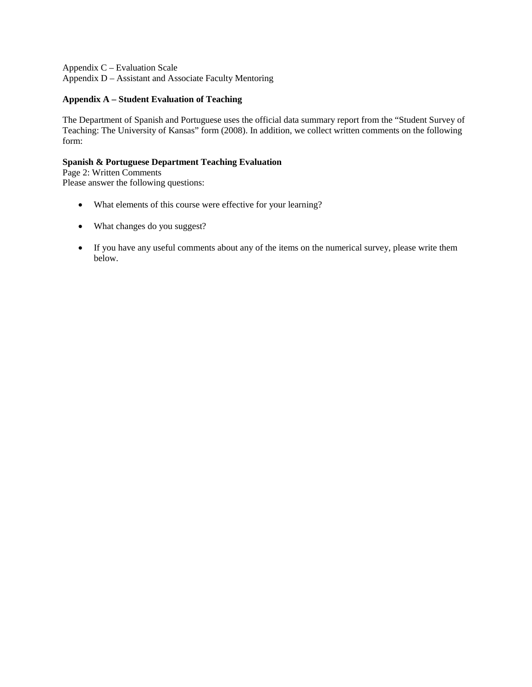Appendix C – Evaluation Scale Appendix D – Assistant and Associate Faculty Mentoring

## <span id="page-8-0"></span>**Appendix A – Student Evaluation of Teaching**

The Department of Spanish and Portuguese uses the official data summary report from the "Student Survey of Teaching: The University of Kansas" form (2008). In addition, we collect written comments on the following form:

# **Spanish & Portuguese Department Teaching Evaluation**

Page 2: Written Comments Please answer the following questions:

- What elements of this course were effective for your learning?
- What changes do you suggest?
- If you have any useful comments about any of the items on the numerical survey, please write them below.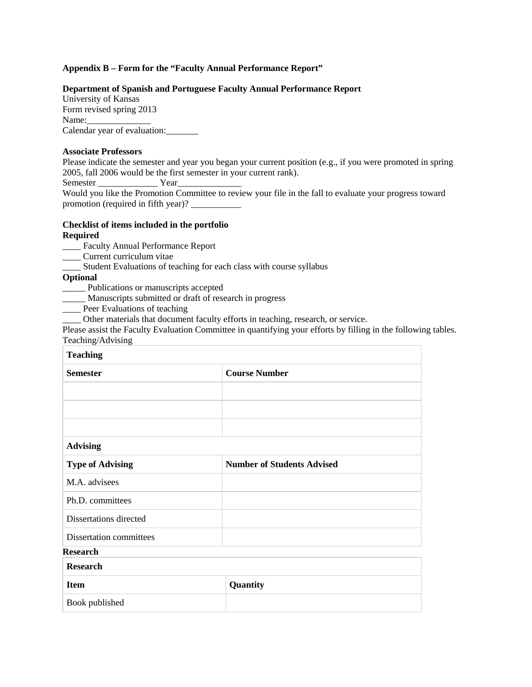## <span id="page-9-0"></span>**Appendix B – Form for the "Faculty Annual Performance Report"**

## **Department of Spanish and Portuguese Faculty Annual Performance Report**

University of Kansas Form revised spring 2013 Name: Calendar year of evaluation:\_\_\_\_\_\_\_

## **Associate Professors**

Please indicate the semester and year you began your current position (e.g., if you were promoted in spring 2005, fall 2006 would be the first semester in your current rank).

Semester \_\_\_\_\_\_\_\_\_\_\_\_\_ Year\_\_\_\_\_\_\_\_\_\_\_\_\_\_

Would you like the Promotion Committee to review your file in the fall to evaluate your progress toward promotion (required in fifth year)? \_\_\_\_\_\_\_\_\_\_\_

## **Checklist of items included in the portfolio Required**

\_\_\_\_ Faculty Annual Performance Report

\_\_\_\_ Current curriculum vitae

\_\_\_\_ Student Evaluations of teaching for each class with course syllabus

**Optional**

\_\_\_\_\_ Publications or manuscripts accepted

\_\_\_\_\_ Manuscripts submitted or draft of research in progress

\_\_\_\_ Peer Evaluations of teaching

\_\_\_\_ Other materials that document faculty efforts in teaching, research, or service.

Please assist the Faculty Evaluation Committee in quantifying your efforts by filling in the following tables. Teaching/Advising

| <b>Teaching</b>         |                                   |  |
|-------------------------|-----------------------------------|--|
| <b>Semester</b>         | <b>Course Number</b>              |  |
|                         |                                   |  |
|                         |                                   |  |
|                         |                                   |  |
| <b>Advising</b>         |                                   |  |
| <b>Type of Advising</b> | <b>Number of Students Advised</b> |  |
| M.A. advisees           |                                   |  |
| Ph.D. committees        |                                   |  |
| Dissertations directed  |                                   |  |
| Dissertation committees |                                   |  |
| <b>Research</b>         |                                   |  |
| <b>Research</b>         |                                   |  |
| <b>Item</b>             | Quantity                          |  |
| Book published          |                                   |  |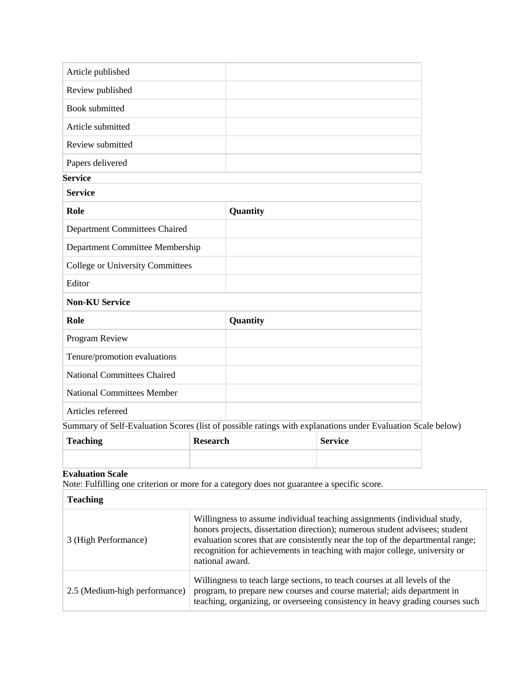| Article published                       |          |
|-----------------------------------------|----------|
| Review published                        |          |
| <b>Book</b> submitted                   |          |
| Article submitted                       |          |
| Review submitted                        |          |
| Papers delivered                        |          |
| <b>Service</b>                          |          |
| <b>Service</b>                          |          |
| Role                                    | Quantity |
| <b>Department Committees Chaired</b>    |          |
| Department Committee Membership         |          |
| <b>College or University Committees</b> |          |
| Editor                                  |          |
| <b>Non-KU Service</b>                   |          |
| Role                                    | Quantity |
| Program Review                          |          |
| Tenure/promotion evaluations            |          |
| <b>National Committees Chaired</b>      |          |
| <b>National Committees Member</b>       |          |
| Articles refereed                       |          |

Summary of Self-Evaluation Scores (list of possible ratings with explanations under Evaluation Scale below)

| <b>Teaching</b> | <b>Research</b> | <b>Service</b> |
|-----------------|-----------------|----------------|
|                 |                 |                |

# **Evaluation Scale**

Note: Fulfilling one criterion or more for a category does not guarantee a specific score.

# **Teaching**

| 3 (High Performance)          | Willingness to assume individual teaching assignments (individual study,<br>honors projects, dissertation direction); numerous student advisees; student<br>evaluation scores that are consistently near the top of the departmental range;<br>recognition for achievements in teaching with major college, university or<br>national award. |
|-------------------------------|----------------------------------------------------------------------------------------------------------------------------------------------------------------------------------------------------------------------------------------------------------------------------------------------------------------------------------------------|
| 2.5 (Medium-high performance) | Willingness to teach large sections, to teach courses at all levels of the<br>program, to prepare new courses and course material; aids department in<br>teaching, organizing, or overseeing consistency in heavy grading courses such                                                                                                       |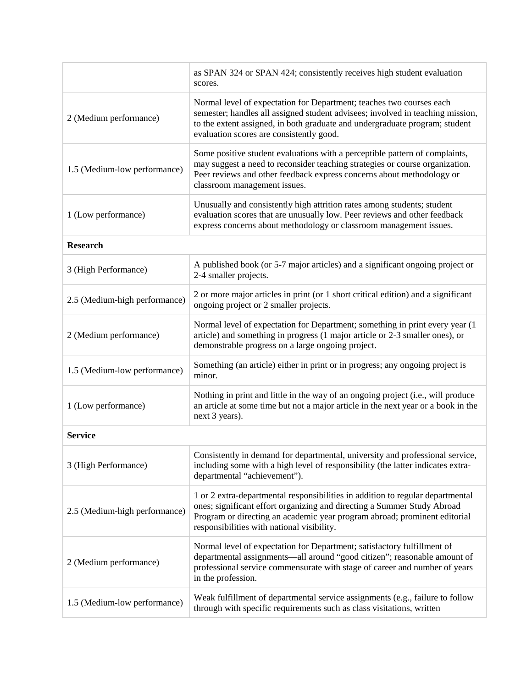|                               | as SPAN 324 or SPAN 424; consistently receives high student evaluation<br>scores.                                                                                                                                                                                                    |
|-------------------------------|--------------------------------------------------------------------------------------------------------------------------------------------------------------------------------------------------------------------------------------------------------------------------------------|
| 2 (Medium performance)        | Normal level of expectation for Department; teaches two courses each<br>semester; handles all assigned student advisees; involved in teaching mission,<br>to the extent assigned, in both graduate and undergraduate program; student<br>evaluation scores are consistently good.    |
| 1.5 (Medium-low performance)  | Some positive student evaluations with a perceptible pattern of complaints,<br>may suggest a need to reconsider teaching strategies or course organization.<br>Peer reviews and other feedback express concerns about methodology or<br>classroom management issues.                 |
| 1 (Low performance)           | Unusually and consistently high attrition rates among students; student<br>evaluation scores that are unusually low. Peer reviews and other feedback<br>express concerns about methodology or classroom management issues.                                                           |
| <b>Research</b>               |                                                                                                                                                                                                                                                                                      |
| 3 (High Performance)          | A published book (or 5-7 major articles) and a significant ongoing project or<br>2-4 smaller projects.                                                                                                                                                                               |
| 2.5 (Medium-high performance) | 2 or more major articles in print (or 1 short critical edition) and a significant<br>ongoing project or 2 smaller projects.                                                                                                                                                          |
| 2 (Medium performance)        | Normal level of expectation for Department; something in print every year (1<br>article) and something in progress (1 major article or 2-3 smaller ones), or<br>demonstrable progress on a large ongoing project.                                                                    |
| 1.5 (Medium-low performance)  | Something (an article) either in print or in progress; any ongoing project is<br>minor.                                                                                                                                                                                              |
| 1 (Low performance)           | Nothing in print and little in the way of an ongoing project (i.e., will produce<br>an article at some time but not a major article in the next year or a book in the<br>next 3 years).                                                                                              |
| <b>Service</b>                |                                                                                                                                                                                                                                                                                      |
| 3 (High Performance)          | Consistently in demand for departmental, university and professional service,<br>including some with a high level of responsibility (the latter indicates extra-<br>departmental "achievement").                                                                                     |
| 2.5 (Medium-high performance) | 1 or 2 extra-departmental responsibilities in addition to regular departmental<br>ones; significant effort organizing and directing a Summer Study Abroad<br>Program or directing an academic year program abroad; prominent editorial<br>responsibilities with national visibility. |
| 2 (Medium performance)        | Normal level of expectation for Department; satisfactory fulfillment of<br>departmental assignments—all around "good citizen"; reasonable amount of<br>professional service commensurate with stage of career and number of years<br>in the profession.                              |
| 1.5 (Medium-low performance)  | Weak fulfillment of departmental service assignments (e.g., failure to follow<br>through with specific requirements such as class visitations, written                                                                                                                               |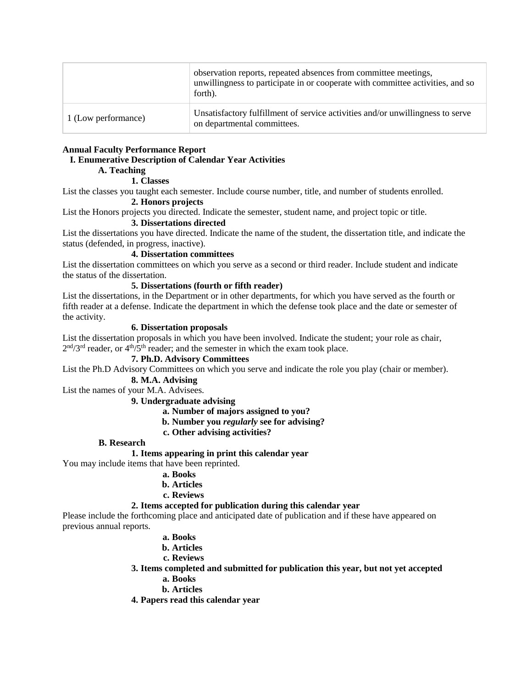|                     | observation reports, repeated absences from committee meetings,<br>unwillingness to participate in or cooperate with committee activities, and so<br>forth). |
|---------------------|--------------------------------------------------------------------------------------------------------------------------------------------------------------|
| 1 (Low performance) | Unsatisfactory fulfillment of service activities and/or unwillingness to serve<br>on departmental committees.                                                |

## **Annual Faculty Performance Report**

## **I. Enumerative Description of Calendar Year Activities**

# **A. Teaching**

**1. Classes**

List the classes you taught each semester. Include course number, title, and number of students enrolled.

## **2. Honors projects**

List the Honors projects you directed. Indicate the semester, student name, and project topic or title.

## **3. Dissertations directed**

List the dissertations you have directed. Indicate the name of the student, the dissertation title, and indicate the status (defended, in progress, inactive).

# **4. Dissertation committees**

List the dissertation committees on which you serve as a second or third reader. Include student and indicate the status of the dissertation.

# **5. Dissertations (fourth or fifth reader)**

List the dissertations, in the Department or in other departments, for which you have served as the fourth or fifth reader at a defense. Indicate the department in which the defense took place and the date or semester of the activity.

## **6. Dissertation proposals**

List the dissertation proposals in which you have been involved. Indicate the student; your role as chair,  $2<sup>nd</sup>/3<sup>rd</sup>$  reader, or  $4<sup>th</sup>/5<sup>th</sup>$  reader; and the semester in which the exam took place.

# **7. Ph.D. Advisory Committees**

List the Ph.D Advisory Committees on which you serve and indicate the role you play (chair or member).

## **8. M.A. Advising**

List the names of your M.A. Advisees.

## **9. Undergraduate advising**

- **a. Number of majors assigned to you?**
- **b. Number you** *regularly* **see for advising?**
- **c. Other advising activities?**

# **B. Research**

**1. Items appearing in print this calendar year**

You may include items that have been reprinted.

- **a. Books**
- **b. Articles**
- **c. Reviews**

## **2. Items accepted for publication during this calendar year**

Please include the forthcoming place and anticipated date of publication and if these have appeared on previous annual reports.

## **a. Books**

- **b. Articles**
- **c. Reviews**

# **3. Items completed and submitted for publication this year, but not yet accepted**

## **a. Books**

**b. Articles**

## **4. Papers read this calendar year**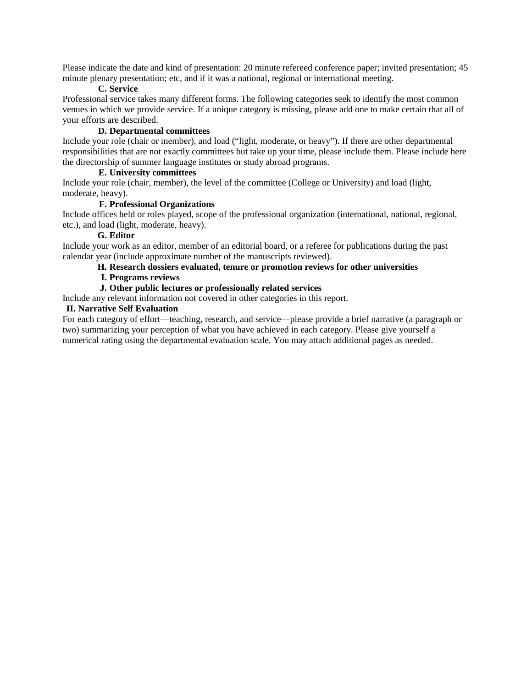Please indicate the date and kind of presentation: 20 minute refereed conference paper; invited presentation; 45 minute plenary presentation; etc, and if it was a national, regional or international meeting.

#### **C. Service**

Professional service takes many different forms. The following categories seek to identify the most common venues in which we provide service. If a unique category is missing, please add one to make certain that all of your efforts are described.

## **D. Departmental committees**

Include your role (chair or member), and load ("light, moderate, or heavy"). If there are other departmental responsibilities that are not exactly committees but take up your time, please include them. Please include here the directorship of summer language institutes or study abroad programs.

# **E. University committees**

Include your role (chair, member), the level of the committee (College or University) and load (light, moderate, heavy).

## **F. Professional Organizations**

Include offices held or roles played, scope of the professional organization (international, national, regional, etc.), and load (light, moderate, heavy).

## **G. Editor**

Include your work as an editor, member of an editorial board, or a referee for publications during the past calendar year (include approximate number of the manuscripts reviewed).

# **H. Research dossiers evaluated, tenure or promotion reviews for other universities**

**I. Programs reviews**

# **J. Other public lectures or professionally related services**

Include any relevant information not covered in other categories in this report.

# **II. Narrative Self Evaluation**

For each category of effort—teaching, research, and service—please provide a brief narrative (a paragraph or two) summarizing your perception of what you have achieved in each category. Please give yourself a numerical rating using the departmental evaluation scale. You may attach additional pages as needed.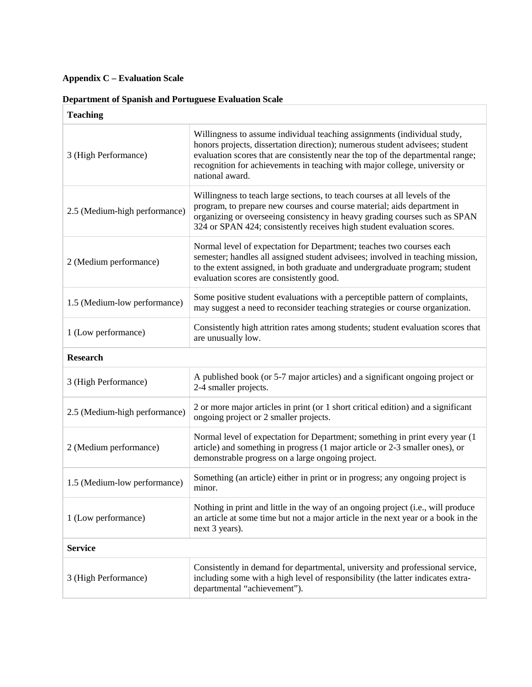# <span id="page-14-0"></span>**Appendix C – Evaluation Scale**

# **Department of Spanish and Portuguese Evaluation Scale**

| <b>Teaching</b>               |                                                                                                                                                                                                                                                                                                                                              |  |
|-------------------------------|----------------------------------------------------------------------------------------------------------------------------------------------------------------------------------------------------------------------------------------------------------------------------------------------------------------------------------------------|--|
| 3 (High Performance)          | Willingness to assume individual teaching assignments (individual study,<br>honors projects, dissertation direction); numerous student advisees; student<br>evaluation scores that are consistently near the top of the departmental range;<br>recognition for achievements in teaching with major college, university or<br>national award. |  |
| 2.5 (Medium-high performance) | Willingness to teach large sections, to teach courses at all levels of the<br>program, to prepare new courses and course material; aids department in<br>organizing or overseeing consistency in heavy grading courses such as SPAN<br>324 or SPAN 424; consistently receives high student evaluation scores.                                |  |
| 2 (Medium performance)        | Normal level of expectation for Department; teaches two courses each<br>semester; handles all assigned student advisees; involved in teaching mission,<br>to the extent assigned, in both graduate and undergraduate program; student<br>evaluation scores are consistently good.                                                            |  |
| 1.5 (Medium-low performance)  | Some positive student evaluations with a perceptible pattern of complaints,<br>may suggest a need to reconsider teaching strategies or course organization.                                                                                                                                                                                  |  |
| 1 (Low performance)           | Consistently high attrition rates among students; student evaluation scores that<br>are unusually low.                                                                                                                                                                                                                                       |  |
| <b>Research</b>               |                                                                                                                                                                                                                                                                                                                                              |  |
| 3 (High Performance)          | A published book (or 5-7 major articles) and a significant ongoing project or<br>2-4 smaller projects.                                                                                                                                                                                                                                       |  |
| 2.5 (Medium-high performance) | 2 or more major articles in print (or 1 short critical edition) and a significant<br>ongoing project or 2 smaller projects.                                                                                                                                                                                                                  |  |
| 2 (Medium performance)        | Normal level of expectation for Department; something in print every year (1)<br>article) and something in progress (1 major article or 2-3 smaller ones), or<br>demonstrable progress on a large ongoing project.                                                                                                                           |  |
| 1.5 (Medium-low performance)  | Something (an article) either in print or in progress; any ongoing project is<br>minor.                                                                                                                                                                                                                                                      |  |
| 1 (Low performance)           | Nothing in print and little in the way of an ongoing project (i.e., will produce<br>an article at some time but not a major article in the next year or a book in the<br>next 3 years).                                                                                                                                                      |  |
| <b>Service</b>                |                                                                                                                                                                                                                                                                                                                                              |  |
| 3 (High Performance)          | Consistently in demand for departmental, university and professional service,<br>including some with a high level of responsibility (the latter indicates extra-<br>departmental "achievement").                                                                                                                                             |  |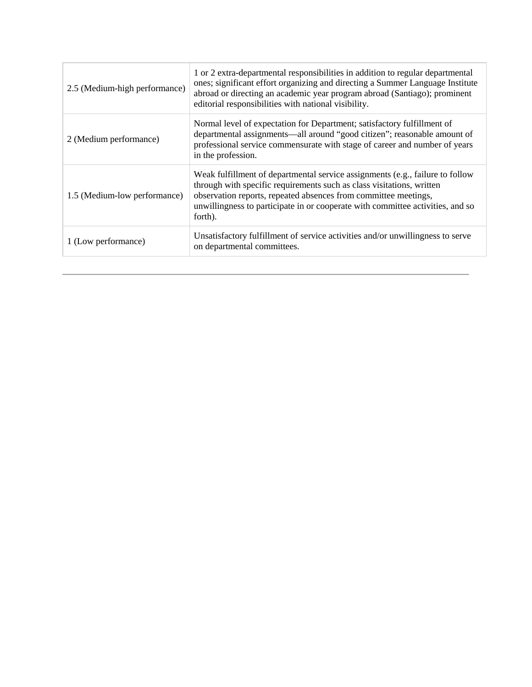| 2.5 (Medium-high performance) | 1 or 2 extra-departmental responsibilities in addition to regular departmental<br>ones; significant effort organizing and directing a Summer Language Institute<br>abroad or directing an academic year program abroad (Santiago); prominent<br>editorial responsibilities with national visibility.                   |
|-------------------------------|------------------------------------------------------------------------------------------------------------------------------------------------------------------------------------------------------------------------------------------------------------------------------------------------------------------------|
| 2 (Medium performance)        | Normal level of expectation for Department; satisfactory fulfillment of<br>departmental assignments—all around "good citizen"; reasonable amount of<br>professional service commensurate with stage of career and number of years<br>in the profession.                                                                |
| 1.5 (Medium-low performance)  | Weak fulfillment of departmental service assignments (e.g., failure to follow<br>through with specific requirements such as class visitations, written<br>observation reports, repeated absences from committee meetings,<br>unwillingness to participate in or cooperate with committee activities, and so<br>forth). |
| 1 (Low performance)           | Unsatisfactory fulfillment of service activities and/or unwillingness to serve<br>on departmental committees.                                                                                                                                                                                                          |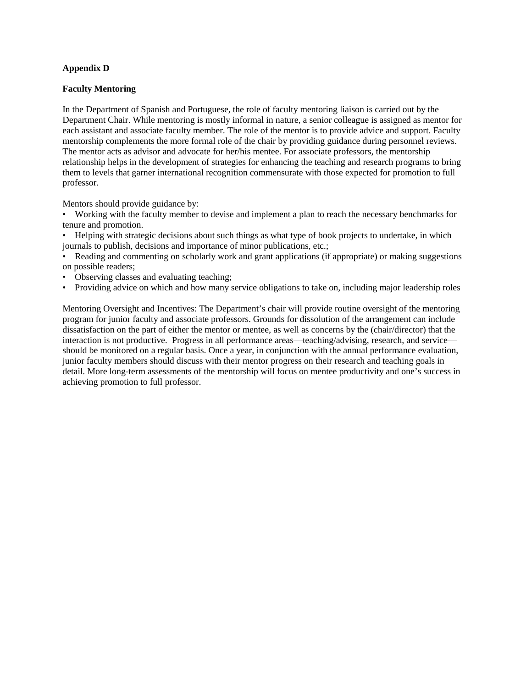## **Appendix D**

## **Faculty Mentoring**

In the Department of Spanish and Portuguese, the role of faculty mentoring liaison is carried out by the Department Chair. While mentoring is mostly informal in nature, a senior colleague is assigned as mentor for each assistant and associate faculty member. The role of the mentor is to provide advice and support. Faculty mentorship complements the more formal role of the chair by providing guidance during personnel reviews. The mentor acts as advisor and advocate for her/his mentee. For associate professors, the mentorship relationship helps in the development of strategies for enhancing the teaching and research programs to bring them to levels that garner international recognition commensurate with those expected for promotion to full professor.

Mentors should provide guidance by:

• Working with the faculty member to devise and implement a plan to reach the necessary benchmarks for tenure and promotion.

• Helping with strategic decisions about such things as what type of book projects to undertake, in which journals to publish, decisions and importance of minor publications, etc.;

Reading and commenting on scholarly work and grant applications (if appropriate) or making suggestions on possible readers;

- Observing classes and evaluating teaching;
- Providing advice on which and how many service obligations to take on, including major leadership roles

Mentoring Oversight and Incentives: The Department's chair will provide routine oversight of the mentoring program for junior faculty and associate professors. Grounds for dissolution of the arrangement can include dissatisfaction on the part of either the mentor or mentee, as well as concerns by the (chair/director) that the interaction is not productive. Progress in all performance areas—teaching/advising, research, and service should be monitored on a regular basis. Once a year, in conjunction with the annual performance evaluation, junior faculty members should discuss with their mentor progress on their research and teaching goals in detail. More long-term assessments of the mentorship will focus on mentee productivity and one's success in achieving promotion to full professor.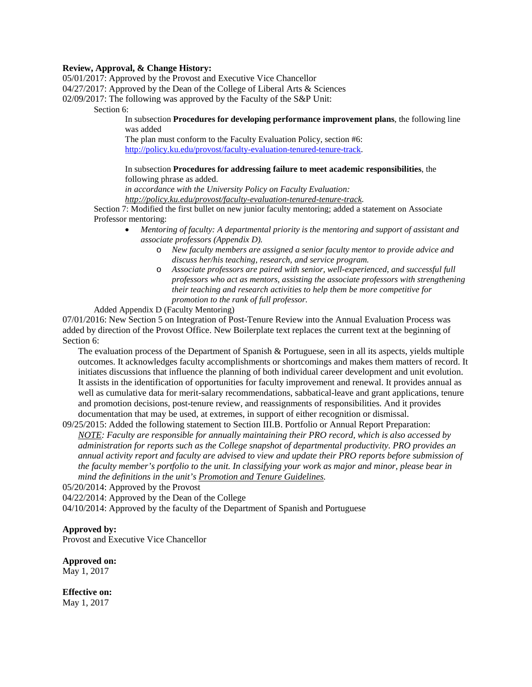#### **Review, Approval, & Change History:**

05/01/2017: Approved by the Provost and Executive Vice Chancellor 04/27/2017: Approved by the Dean of the College of Liberal Arts & Sciences 02/09/2017: The following was approved by the Faculty of the S&P Unit: Section 6:

> In subsection **Procedures for developing performance improvement plans**, the following line was added

The plan must conform to the Faculty Evaluation Policy, section #6: [http://policy.ku.edu/provost/faculty-evaluation-tenured-tenure-track.](http://policy.ku.edu/provost/faculty-evaluation-tenured-tenure-track)

In subsection **Procedures for addressing failure to meet academic responsibilities**, the

following phrase as added.

*in accordance with the University Policy on Faculty Evaluation:* 

*http://policy.ku.edu/provost/faculty-evaluation-tenured-tenure-track.*

Section 7: Modified the first bullet on new junior faculty mentoring; added a statement on Associate Professor mentoring:

- *Mentoring of faculty: A departmental priority is the mentoring and support of assistant and associate professors (Appendix D).* 
	- o *New faculty members are assigned a senior faculty mentor to provide advice and discuss her/his teaching, research, and service program.*
	- o *Associate professors are paired with senior, well-experienced, and successful full professors who act as mentors, assisting the associate professors with strengthening their teaching and research activities to help them be more competitive for promotion to the rank of full professor.*

Added Appendix D (Faculty Mentoring)

07/01/2016: New Section 5 on Integration of Post-Tenure Review into the Annual Evaluation Process was added by direction of the Provost Office. New Boilerplate text replaces the current text at the beginning of Section 6:

The evaluation process of the Department of Spanish & Portuguese, seen in all its aspects, yields multiple outcomes. It acknowledges faculty accomplishments or shortcomings and makes them matters of record. It initiates discussions that influence the planning of both individual career development and unit evolution. It assists in the identification of opportunities for faculty improvement and renewal. It provides annual as well as cumulative data for merit-salary recommendations, sabbatical-leave and grant applications, tenure and promotion decisions, post-tenure review, and reassignments of responsibilities. And it provides documentation that may be used, at extremes, in support of either recognition or dismissal.

09/25/2015: Added the following statement to Section III.B. Portfolio or Annual Report Preparation: *NOTE: Faculty are responsible for annually maintaining their PRO record, which is also accessed by administration for reports such as the College snapshot of departmental productivity. PRO provides an annual activity report and faculty are advised to view and update their PRO reports before submission of the faculty member's portfolio to the unit. In classifying your work as major and minor, please bear in mind the definitions in the unit's [Promotion and Tenure Guidelines.](http://policy.ku.edu/CLAS/promotion-tenure-spanish-portuguese)*

05/20/2014: Approved by the Provost

04/22/2014: Approved by the Dean of the College

04/10/2014: Approved by the faculty of the Department of Spanish and Portuguese

## **Approved by:**

Provost and Executive Vice Chancellor

# **Approved on:**

May 1, 2017

**Effective on:** May 1, 2017